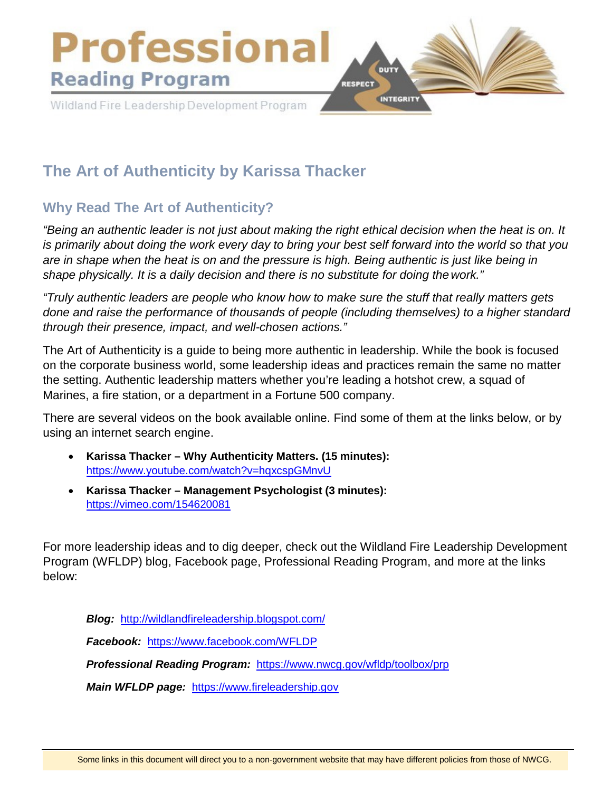

# **The Art of Authenticity by Karissa Thacker**

# **Why Read The Art of Authenticity?**

*"Being an authentic leader is not just about making the right ethical decision when the heat is on. It is primarily about doing the work every day to bring your best self forward into the world so that you are in shape when the heat is on and the pressure is high. Being authentic is just like being in shape physically. It is a daily decision and there is no substitute for doing thework."*

*"Truly authentic leaders are people who know how to make sure the stuff that really matters gets done and raise the performance of thousands of people (including themselves) to a higher standard through their presence, impact, and well-chosen actions."*

The Art of Authenticity is a guide to being more authentic in leadership. While the book is focused on the corporate business world, some leadership ideas and practices remain the same no matter the setting. Authentic leadership matters whether you're leading a hotshot crew, a squad of Marines, a fire station, or a department in a Fortune 500 company.

There are several videos on the book available online. Find some of them at the links below, or by using an internet search engine.

- **Karissa Thacker Why Authenticity Matters. (15 minutes):** <https://www.youtube.com/watch?v=hqxcspGMnvU>
- **Karissa Thacker Management Psychologist (3 minutes):** <https://vimeo.com/154620081>

For more leadership ideas and to dig deeper, check out the Wildland Fire Leadership Development Program (WFLDP) blog, Facebook page, Professional Reading Program, and more at the links below:

*Blog:* <http://wildlandfireleadership.blogspot.com/> *Facebook:* <https://www.facebook.com/WFLDP> *Professional Reading Program:* <https://www.nwcg.gov/wfldp/toolbox/prp>

*Main WFLDP page:* [https://www.fireleadership.gov](https://www.fireleadership.gov/)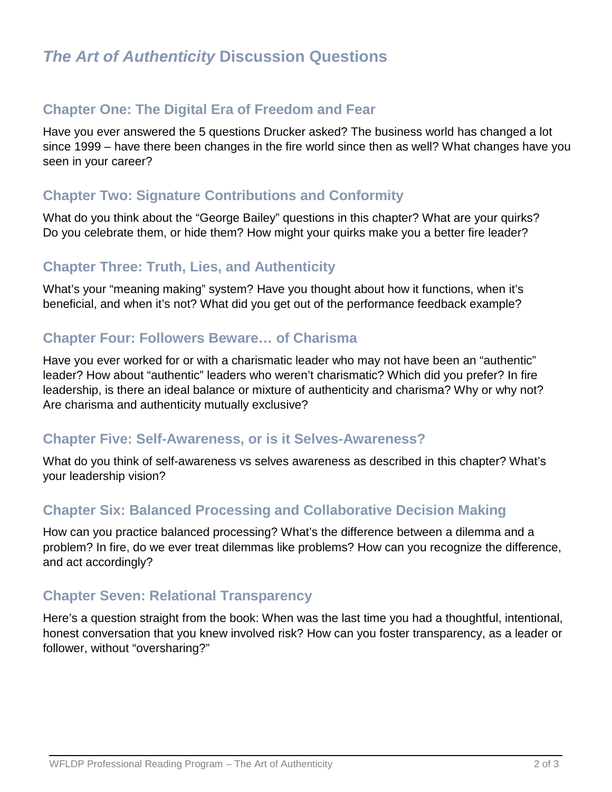# **Chapter One: The Digital Era of Freedom and Fear**

Have you ever answered the 5 questions Drucker asked? The business world has changed a lot since 1999 – have there been changes in the fire world since then as well? What changes have you seen in your career?

# **Chapter Two: Signature Contributions and Conformity**

What do you think about the "George Bailey" questions in this chapter? What are your quirks? Do you celebrate them, or hide them? How might your quirks make you a better fire leader?

# **Chapter Three: Truth, Lies, and Authenticity**

What's your "meaning making" system? Have you thought about how it functions, when it's beneficial, and when it's not? What did you get out of the performance feedback example?

# **Chapter Four: Followers Beware… of Charisma**

Have you ever worked for or with a charismatic leader who may not have been an "authentic" leader? How about "authentic" leaders who weren't charismatic? Which did you prefer? In fire leadership, is there an ideal balance or mixture of authenticity and charisma? Why or why not? Are charisma and authenticity mutually exclusive?

#### **Chapter Five: Self-Awareness, or is it Selves-Awareness?**

What do you think of self-awareness vs selves awareness as described in this chapter? What's your leadership vision?

#### **Chapter Six: Balanced Processing and Collaborative Decision Making**

How can you practice balanced processing? What's the difference between a dilemma and a problem? In fire, do we ever treat dilemmas like problems? How can you recognize the difference, and act accordingly?

#### **Chapter Seven: Relational Transparency**

Here's a question straight from the book: When was the last time you had a thoughtful, intentional, honest conversation that you knew involved risk? How can you foster transparency, as a leader or follower, without "oversharing?"